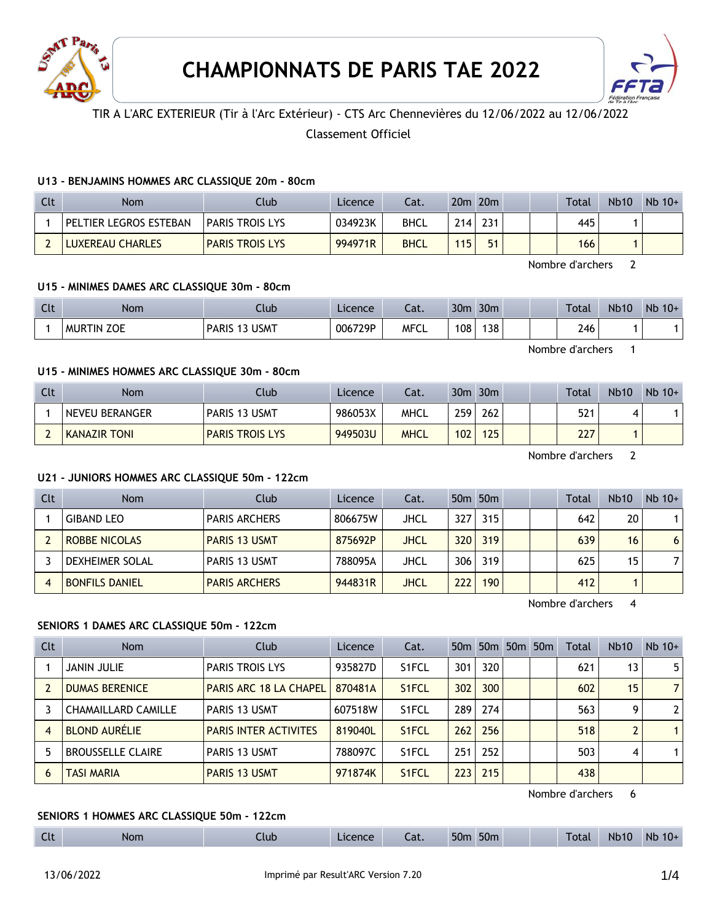



## TIR A L'ARC EXTERIEUR (Tir à l'Arc Extérieur) - CTS Arc Chennevières du 12/06/2022 au 12/06/2022

## Classement Officiel

### **U13 - BENJAMINS HOMMES ARC CLASSIQUE 20m - 80cm**

| Clt | <b>Nom</b>             | Clubi                  | Licence | Cat.        |     | 20 <sub>m</sub> 20 <sub>m</sub> |  | Total | <b>Nb10</b> | $Nb$ 10+ |
|-----|------------------------|------------------------|---------|-------------|-----|---------------------------------|--|-------|-------------|----------|
|     | PELTIER LEGROS ESTEBAN | <b>PARIS TROIS LYS</b> | 034923K | <b>BHCL</b> | 214 | 231                             |  | 445   |             |          |
|     | LUXEREAU CHARLES       | <b>PARIS TROIS LYS</b> | 994971R | <b>BHCL</b> | 115 | 51                              |  | 166   |             |          |

Nombre d'archers 2

### **U15 - MINIMES DAMES ARC CLASSIQUE 30m - 80cm**

| $\Gamma$<br>uu | <b>Nom</b>                  | Jlub                             | Licence | $\sim$<br>-al. | 30 <sub>m</sub> | 30 <sub>m</sub> |  | Total | <b>Nb10</b> | Nb<br>$10+$ |
|----------------|-----------------------------|----------------------------------|---------|----------------|-----------------|-----------------|--|-------|-------------|-------------|
|                | <b>ZOE</b><br><b>MURTIN</b> | <b>USMT</b><br><b>PARIS</b><br>. | 006729P | <b>MFCL</b>    | 108             | 138             |  | 246   |             |             |

Nombre d'archers 1

## **U15 - MINIMES HOMMES ARC CLASSIQUE 30m - 80cm**

| Clt | <b>Nom</b>          | Club                   | Licence | Cat.        |     | $30m$ $30m$ | <b>Total</b> | <b>Nb10</b> | $Nb 10+$ |
|-----|---------------------|------------------------|---------|-------------|-----|-------------|--------------|-------------|----------|
|     | NEVEU BERANGER      | <b>PARIS 13 USMT</b>   | 986053X | MHCL        | 259 | 262         | 521          |             |          |
|     | <b>KANAZIR TONI</b> | <b>PARIS TROIS LYS</b> | 949503U | <b>MHCL</b> | 102 | 125         | 227          |             |          |

Nombre d'archers 2

### **U21 - JUNIORS HOMMES ARC CLASSIQUE 50m - 122cm**

| Clt | <b>Nom</b>            | Club                 | Licence | Cat.        |     | 50 <sub>m</sub> 50 <sub>m</sub> |  | Total | <b>Nb10</b> | $Nb$ 10+ |
|-----|-----------------------|----------------------|---------|-------------|-----|---------------------------------|--|-------|-------------|----------|
|     | <b>GIBAND LEO</b>     | <b>PARIS ARCHERS</b> | 806675W | JHCL        | 327 | 315                             |  | 642   | 20          |          |
|     | <b>ROBBE NICOLAS</b>  | <b>PARIS 13 USMT</b> | 875692P | <b>JHCL</b> | 320 | 319                             |  | 639   | 16          | 6        |
|     | DEXHEIMER SOLAL       | <b>PARIS 13 USMT</b> | 788095A | JHCL        | 306 | 319                             |  | 625   | 15          |          |
|     | <b>BONFILS DANIEL</b> | <b>PARIS ARCHERS</b> | 944831R | <b>JHCL</b> | 222 | 190                             |  | 412   |             |          |

Nombre d'archers 4

#### **SENIORS 1 DAMES ARC CLASSIQUE 50m - 122cm**

| Clt | <b>Nom</b>                 | Club                          | Licence | Cat.               |     | 50 <sub>m</sub> 50 <sub>m</sub> | 50 <sub>m</sub> 50 <sub>m</sub> | Total | Nb10 | $Nb$ 10+       |
|-----|----------------------------|-------------------------------|---------|--------------------|-----|---------------------------------|---------------------------------|-------|------|----------------|
|     | JANIN JULIE                | <b>PARIS TROIS LYS</b>        | 935827D | S <sub>1</sub> FCL | 301 | 320                             |                                 | 621   | 13   | 5              |
|     | <b>DUMAS BERENICE</b>      | <b>PARIS ARC 18 LA CHAPEL</b> | 870481A | S <sub>1</sub> FCL | 302 | 300                             |                                 | 602   | 15   | $\overline{7}$ |
|     | <b>CHAMAILLARD CAMILLE</b> | PARIS 13 USMT                 | 607518W | S1FCL              | 289 | 274                             |                                 | 563   | 9    | $\overline{2}$ |
| 4   | <b>BLOND AURÉLIE</b>       | <b>PARIS INTER ACTIVITES</b>  | 819040L | S <sub>1</sub> FCL | 262 | 256                             |                                 | 518   | 2    |                |
|     | <b>BROUSSELLE CLAIRE</b>   | <b>PARIS 13 USMT</b>          | 788097C | S <sub>1</sub> FCL | 251 | 252                             |                                 | 503   | 4    |                |
| 6   | <b>TASI MARIA</b>          | <b>PARIS 13 USMT</b>          | 971874K | S <sub>1</sub> FCL | 223 | 215                             |                                 | 438   |      |                |

Nombre d'archers 6

### **SENIORS 1 HOMMES ARC CLASSIQUE 50m - 122cm**

| Clt<br>50 <sub>m</sub><br>50 <sub>m</sub><br><b>Nb10</b><br><b>Nb</b><br><b>Total</b><br>$10+$<br>Nom<br>Licence<br>Club<br>- 1<br>cal. |
|-----------------------------------------------------------------------------------------------------------------------------------------|
|-----------------------------------------------------------------------------------------------------------------------------------------|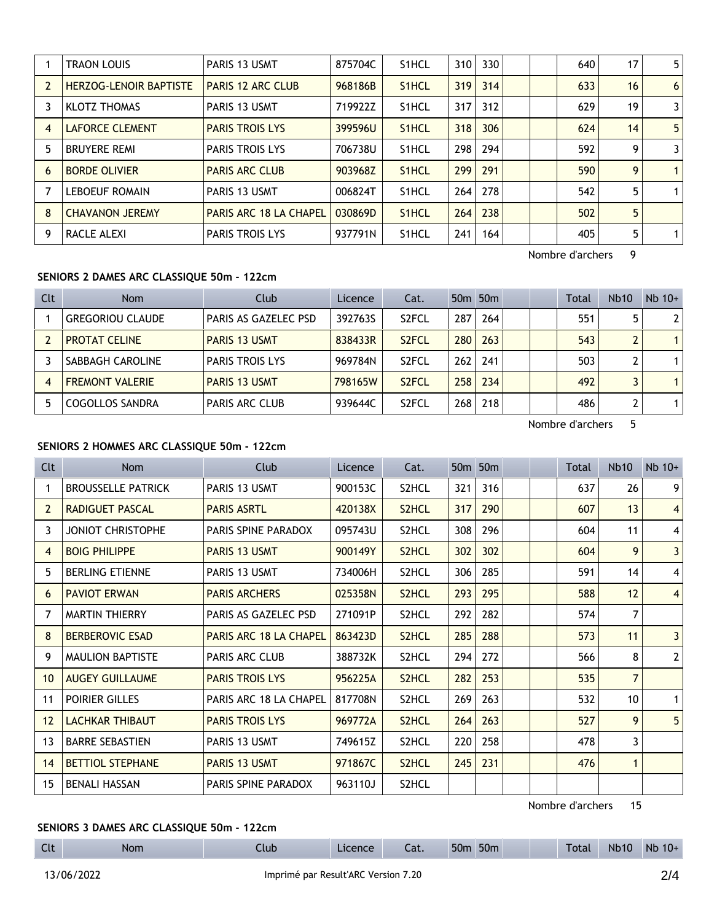|   | <b>TRAON LOUIS</b>            | PARIS 13 USMT                 | 875704C | S <sub>1</sub> HCL | 310 | 330 |  | 640 | 17 | 5            |
|---|-------------------------------|-------------------------------|---------|--------------------|-----|-----|--|-----|----|--------------|
|   | <b>HERZOG-LENOIR BAPTISTE</b> | <b>PARIS 12 ARC CLUB</b>      | 968186B | S <sub>1</sub> HCL | 319 | 314 |  | 633 | 16 | 6            |
|   | <b>KLOTZ THOMAS</b>           | PARIS 13 USMT                 | 719922Z | S <sub>1</sub> HCL | 317 | 312 |  | 629 | 19 | 3            |
| 4 | <b>LAFORCE CLEMENT</b>        | <b>PARIS TROIS LYS</b>        | 399596U | S <sub>1</sub> HCL | 318 | 306 |  | 624 | 14 | 5            |
| 5 | <b>BRUYERE REMI</b>           | <b>PARIS TROIS LYS</b>        | 706738U | S <sub>1</sub> HCL | 298 | 294 |  | 592 | 9  | 3            |
| 6 | <b>BORDE OLIVIER</b>          | <b>PARIS ARC CLUB</b>         | 903968Z | S <sub>1</sub> HCL | 299 | 291 |  | 590 | 9  | $\mathbf{1}$ |
|   | <b>LEBOEUF ROMAIN</b>         | PARIS 13 USMT                 | 006824T | S <sub>1</sub> HCL | 264 | 278 |  | 542 | 5  | $\mathbf 1$  |
| 8 | <b>CHAVANON JEREMY</b>        | <b>PARIS ARC 18 LA CHAPEL</b> | 030869D | S <sub>1</sub> HCL | 264 | 238 |  | 502 | 5  |              |
| 9 | RACLE ALEXI                   | <b>PARIS TROIS LYS</b>        | 937791N | S <sub>1</sub> HCL | 241 | 164 |  | 405 | 5  | $\mathbf 1$  |

Nombre d'archers 9

# **SENIORS 2 DAMES ARC CLASSIQUE 50m - 122cm**

| Clt | <b>Nom</b>              | Club                   | Licence | Cat.               |                  | 50 <sub>m</sub> 50 <sub>m</sub> |  | Total | <b>Nb10</b> | $Nb$ 10+       |
|-----|-------------------------|------------------------|---------|--------------------|------------------|---------------------------------|--|-------|-------------|----------------|
|     | <b>GREGORIOU CLAUDE</b> | PARIS AS GAZELEC PSD   | 392763S | S <sub>2</sub> FCL | 287              | 264                             |  | 551   | 5.          | 2 <sup>1</sup> |
|     | <b>PROTAT CELINE</b>    | <b>PARIS 13 USMT</b>   | 838433R | S <sub>2</sub> FCL | 280 <sub>1</sub> | 263                             |  | 543   |             |                |
|     | SABBAGH CAROLINE        | <b>PARIS TROIS LYS</b> | 969784N | S <sub>2</sub> FCL | 262              | 241                             |  | 503   |             |                |
| 4   | <b>FREMONT VALERIE</b>  | <b>PARIS 13 USMT</b>   | 798165W | S <sub>2</sub> FCL | 258              | 234                             |  | 492   |             |                |
|     | <b>COGOLLOS SANDRA</b>  | <b>PARIS ARC CLUB</b>  | 939644C | S <sub>2</sub> FCL | 268              | 218                             |  | 486   |             |                |

Nombre d'archers 5

## **SENIORS 2 HOMMES ARC CLASSIQUE 50m - 122cm**

| Clt             | Nom                       | Club                          | Licence | Cat.               |     | 50 <sub>m</sub> 50 <sub>m</sub> |  | Total | <b>Nb10</b>     | $Nb$ 10+       |
|-----------------|---------------------------|-------------------------------|---------|--------------------|-----|---------------------------------|--|-------|-----------------|----------------|
| 1               | <b>BROUSSELLE PATRICK</b> | <b>PARIS 13 USMT</b>          | 900153C | S <sub>2</sub> HCL | 321 | 316                             |  | 637   | 26              | 9 <sup>1</sup> |
| $\overline{2}$  | <b>RADIGUET PASCAL</b>    | <b>PARIS ASRTL</b>            | 420138X | S <sub>2</sub> HCL | 317 | 290                             |  | 607   | 13              | 4 <sup>1</sup> |
| 3               | <b>JONIOT CHRISTOPHE</b>  | PARIS SPINE PARADOX           | 095743U | S <sub>2</sub> HCL | 308 | 296                             |  | 604   | 11              | $\vert$        |
| 4               | <b>BOIG PHILIPPE</b>      | PARIS 13 USMT                 | 900149Y | S <sub>2</sub> HCL | 302 | 302                             |  | 604   | 9               | 3 <sup>1</sup> |
| 5               | <b>BERLING ETIENNE</b>    | PARIS 13 USMT                 | 734006H | S2HCL              | 306 | 285                             |  | 591   | 14              | 4 <sup>1</sup> |
| 6               | <b>PAVIOT ERWAN</b>       | <b>PARIS ARCHERS</b>          | 025358N | S <sub>2</sub> HCL | 293 | 295                             |  | 588   | 12              | $\vert$        |
| 7               | <b>MARTIN THIERRY</b>     | PARIS AS GAZELEC PSD          | 271091P | S2HCL              | 292 | 282                             |  | 574   | $\overline{7}$  |                |
| 8               | <b>BERBEROVIC ESAD</b>    | <b>PARIS ARC 18 LA CHAPEL</b> | 863423D | S <sub>2</sub> HCL | 285 | 288                             |  | 573   | 11              | 3 <sup>1</sup> |
| 9               | <b>MAULION BAPTISTE</b>   | <b>PARIS ARC CLUB</b>         | 388732K | S <sub>2</sub> HCL | 294 | 272                             |  | 566   | 8               | 2 <sup>1</sup> |
| 10 <sup>°</sup> | <b>AUGEY GUILLAUME</b>    | <b>PARIS TROIS LYS</b>        | 956225A | S <sub>2</sub> HCL | 282 | 253                             |  | 535   | $\overline{7}$  |                |
| 11              | POIRIER GILLES            | PARIS ARC 18 LA CHAPEL        | 817708N | S <sub>2</sub> HCL | 269 | 263                             |  | 532   | 10 <sup>°</sup> | 1 <sup>1</sup> |
| 12              | <b>LACHKAR THIBAUT</b>    | <b>PARIS TROIS LYS</b>        | 969772A | S <sub>2</sub> HCL | 264 | 263                             |  | 527   | 9               | 5 <sub>1</sub> |
| 13              | <b>BARRE SEBASTIEN</b>    | PARIS 13 USMT                 | 749615Z | S <sub>2</sub> HCL | 220 | 258                             |  | 478   | 3               |                |
| 14              | <b>BETTIOL STEPHANE</b>   | PARIS 13 USMT                 | 971867C | S <sub>2</sub> HCL | 245 | 231                             |  | 476   | $\mathbf{1}$    |                |
| 15              | <b>BENALI HASSAN</b>      | PARIS SPINE PARADOX           | 963110J | S <sub>2</sub> HCL |     |                                 |  |       |                 |                |

Nombre d'archers 15

# **SENIORS 3 DAMES ARC CLASSIQUE 50m - 122cm**

Clt Nom Club Licence Cat. 50m 50m Total Nb10 Nb 10+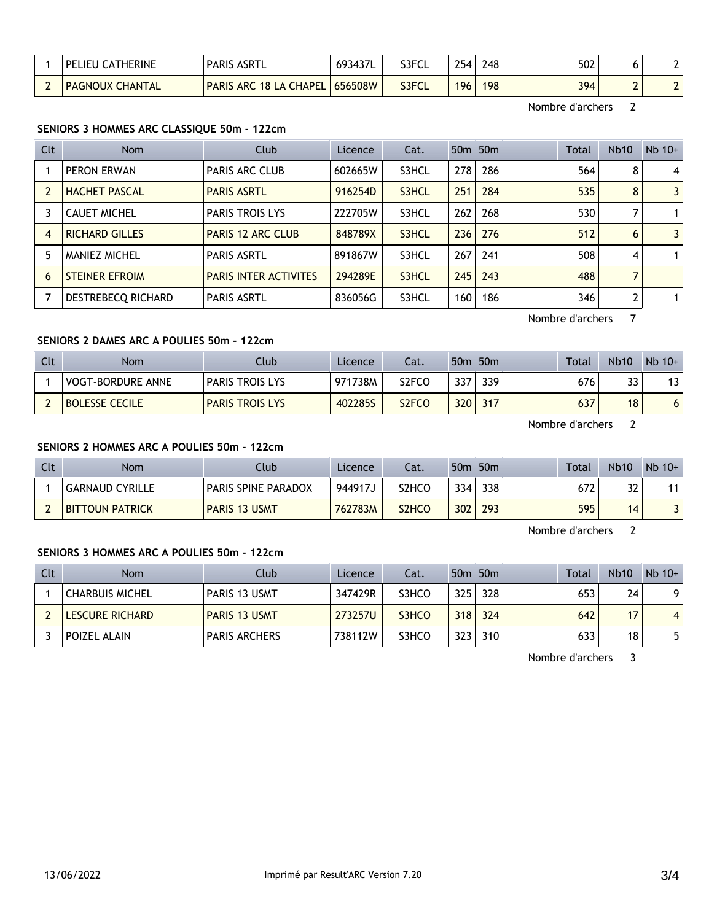| <b>CATHERINE</b><br>' PELIEU | <b>PARIS ASRTL</b>            | 693437L | S3FCL | 254 | 248 |  | 502 |   |  |
|------------------------------|-------------------------------|---------|-------|-----|-----|--|-----|---|--|
| <b>PAGNOUX CHANTAL</b>       | <b>PARIS ARC 18 LA CHAPEL</b> | 656508W | S3FCL | 196 | 198 |  | 394 | - |  |

Nombre d'archers 2

## **SENIORS 3 HOMMES ARC CLASSIQUE 50m - 122cm**

| Clt            | <b>Nom</b>            | Club                         | Licence | Cat.  |     | 50 <sub>m</sub> 50 <sub>m</sub> |  | Total | <b>Nb10</b>    | $Nb$ 10+ |
|----------------|-----------------------|------------------------------|---------|-------|-----|---------------------------------|--|-------|----------------|----------|
|                | PERON ERWAN           | <b>PARIS ARC CLUB</b>        | 602665W | S3HCL | 278 | 286                             |  | 564   | 8              | 4        |
| $\overline{2}$ | <b>HACHET PASCAL</b>  | <b>PARIS ASRTL</b>           | 916254D | S3HCL | 251 | 284                             |  | 535   | 8              | 3        |
|                | <b>CAUET MICHEL</b>   | <b>PARIS TROIS LYS</b>       | 222705W | S3HCL | 262 | 268                             |  | 530   |                |          |
| $\overline{4}$ | <b>RICHARD GILLES</b> | <b>PARIS 12 ARC CLUB</b>     | 848789X | S3HCL | 236 | 276                             |  | 512   | 6              | 3        |
| 5              | <b>MANIEZ MICHEL</b>  | <b>PARIS ASRTL</b>           | 891867W | S3HCL | 267 | 241                             |  | 508   | 4              |          |
| 6              | <b>STEINER EFROIM</b> | <b>PARIS INTER ACTIVITES</b> | 294289E | S3HCL | 245 | 243                             |  | 488   | $\overline{7}$ |          |
|                | DESTREBECQ RICHARD    | <b>PARIS ASRTL</b>           | 836056G | S3HCL | 160 | 186                             |  | 346   |                |          |

Nombre d'archers 7

## **SENIORS 2 DAMES ARC A POULIES 50m - 122cm**

| Clt | <b>Nom</b>               | Club                   | Licence | Cat.               |     | 50 <sub>m</sub> 50 <sub>m</sub> |  | Total | <b>Nb10</b> | $Nb$ 10+ |
|-----|--------------------------|------------------------|---------|--------------------|-----|---------------------------------|--|-------|-------------|----------|
|     | <b>VOGT-BORDURE ANNE</b> | <b>PARIS TROIS LYS</b> | 971738M | S2FCO              | 337 | 339.                            |  | 676   | רר<br>دد    | 13       |
|     | <b>BOLESSE CECILE</b>    | <b>PARIS TROIS LYS</b> | 402285S | S <sub>2</sub> FCO | 320 | 317                             |  | 637   | 18          | O        |

Nombre d'archers 2

## **SENIORS 2 HOMMES ARC A POULIES 50m - 122cm**

| Clt | Nom                    | Club                       | Licence | Cat.               |     | 50 <sub>m</sub> 50 <sub>m</sub> |  | Total | <b>Nb10</b> | $Nb$ 10+ |
|-----|------------------------|----------------------------|---------|--------------------|-----|---------------------------------|--|-------|-------------|----------|
|     | <b>GARNAUD CYRILLE</b> | <b>PARIS SPINE PARADOX</b> | 944917J | S2HCO              | 334 | 338                             |  | 672   | רכ<br>۵Z    |          |
|     | <b>BITTOUN PATRICK</b> | <b>PARIS 13 USMT</b>       | 762783M | S <sub>2</sub> HCO | 302 | 293                             |  | 595   | 14          |          |

Nombre d'archers 2

### **SENIORS 3 HOMMES ARC A POULIES 50m - 122cm**

| Clt | Nom                    | Club                 | Licence | Cat.  |      | 50 <sub>m</sub> 50 <sub>m</sub> |  | Total | <b>Nb10</b> | $Nb$ 10+ |
|-----|------------------------|----------------------|---------|-------|------|---------------------------------|--|-------|-------------|----------|
|     | <b>CHARBUIS MICHEL</b> | <b>PARIS 13 USMT</b> | 347429R | S3HCO | 325  | 328                             |  | 653   | 24          | 9        |
|     | <b>LESCURE RICHARD</b> | <b>PARIS 13 USMT</b> | 273257U | S3HCO | 318  | 324                             |  | 642   | 17          |          |
|     | <b>POIZEL ALAIN</b>    | <b>PARIS ARCHERS</b> | 738112W | S3HCO | 3231 | 310                             |  | 633   | 18          |          |

Nombre d'archers 3